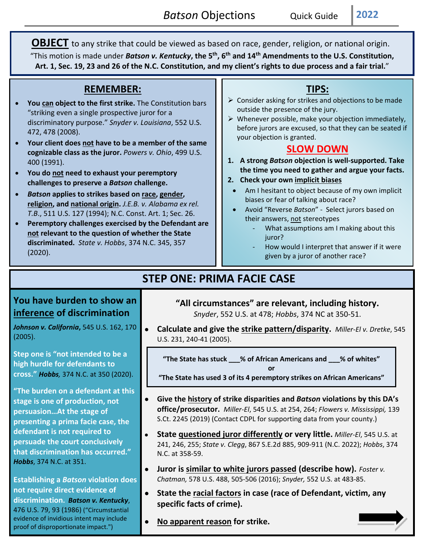**OBJECT** to any strike that could be viewed as based on race, gender, religion, or national origin. "This motion is made under *Batson v. Kentucky***, the 5th, 6th and 14th Amendments to the U.S. Constitution, Art. 1, Sec. 19, 23 and 26 of the N.C. Constitution, and my client's rights to due process and a fair trial.**"

### **REMEMBER:**

- **You can object to the first strike.** The Constitution bars "striking even a single prospective juror for a discriminatory purpose." *Snyder v. Louisiana*, 552 U.S. 472, 478 (2008).
- **Your client does not have to be a member of the same cognizable class as the juror.** *Powers v. Ohio*, 499 U.S. 400 (1991).
- **You do not need to exhaust your peremptory challenges to preserve a** *Batson* **challenge.**
- *Batson* **applies to strikes based on race, gender, religion, and national origin.** *J.E.B. v. Alabama ex rel. T.B*., 511 U.S. 127 (1994); N.C. Const. Art. 1; Sec. 26.
- **Peremptory challenges exercised by the Defendant are not relevant to the question of whether the State discriminated.** *State v. Hobbs*, 374 N.C. 345, 357 (2020).

## **TIPS:**

- $\triangleright$  Consider asking for strikes and objections to be made outside the presence of the jury.
- $\triangleright$  Whenever possible, make your objection immediately, before jurors are excused, so that they can be seated if your objection is granted.

#### **SLOW DOWN**

- **1. A strong** *Batson* **objection is well-supported. Take the time you need to gather and argue your facts.**
- **2. Check your own implicit biases**
	- Am I hesitant to object because of my own implicit biases or fear of talking about race?
	- Avoid "Reverse *Batson*" Select jurors based on their answers, not stereotypes
		- What assumptions am I making about this juror?
		- How would I interpret that answer if it were given by a juror of another race?

# **STEP ONE: PRIMA FACIE CASE**

### **You have burden to show an inference of discrimination**

*Johnson v. California***,** 545 U.S. 162, 170 (2005).

**Step one is "not intended to be a high hurdle for defendants to cross."** *Hobbs,* 374 N.C. at 350 (2020).

**"The burden on a defendant at this stage is one of production, not persuasion…At the stage of presenting a prima facie case, the defendant is not required to persuade the court conclusively that discrimination has occurred."** *Hobbs*, 374 N.C. at 351.

**Establishing a** *Batson* **violation does not require direct evidence of discrimination.** *Batson v. Kentucky*, 476 U.S. 79, 93 (1986) ("Circumstantial evidence of invidious intent may include proof of disproportionate impact.")

### **"All circumstances" are relevant, including history.**

*Snyder*, 552 U.S. at 478; *Hobbs*, 374 NC at 350-51.

• **Calculate and give the strike pattern/disparity.** *Miller-El v. Dretke*, 545 U.S. 231, 240-41 (2005).

**"The State has stuck \_\_\_% of African Americans and \_\_\_% of whites" or**

**"The State has used 3 of its 4 peremptory strikes on African Americans"**

- **Give the history of strike disparities and** *Batson* **violations by this DA's office/prosecutor.** *Miller-El*, 545 U.S. at 254, 264; *Flowers v. Mississippi,* 139 S.Ct. 2245 (2019) (Contact CDPL for supporting data from your county.)
- **State questioned juror differently or very little.** *Miller-El*, 545 U.S. at 241, 246, 255; *State v. Clegg*, 867 S.E.2d 885, 909-911 (N.C. 2022); *Hobbs*, 374 N.C. at 358-59.
- **Juror is similar to white jurors passed (describe how).** *Foster v. Chatman,* 578 U.S. 488, 505-506 (2016); *Snyder,* 552 U.S. at 483-85.
- **State the racial factors in case (race of Defendant, victim, any specific facts of crime).**

• **No apparent reason for strike.**